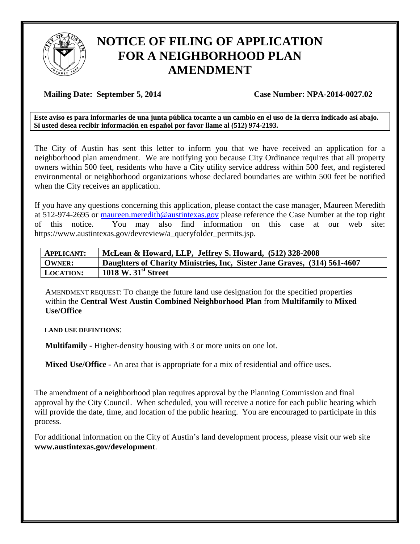

## **NOTICE OF FILING OF APPLICATION FOR A NEIGHBORHOOD PLAN AMENDMENT**

## **Mailing Date: September 5, 2014 Case Number: NPA-2014-0027.02**

**Este aviso es para informarles de una junta pública tocante a un cambio en el uso de la tierra indicado así abajo. Si usted desea recibir información en español por favor llame al (512) 974-2193.**

The City of Austin has sent this letter to inform you that we have received an application for a neighborhood plan amendment. We are notifying you because City Ordinance requires that all property owners within 500 feet, residents who have a City utility service address within 500 feet, and registered environmental or neighborhood organizations whose declared boundaries are within 500 feet be notified when the City receives an application.

If you have any questions concerning this application, please contact the case manager, Maureen Meredith at 512-974-2695 or [maureen.meredith@austintexas.gov](mailto:maureen.meredith@austintexas.gov) please reference the Case Number at the top right of this notice. You may also find information on this case at our web site: https://www.austintexas.gov/devreview/a\_queryfolder\_permits.jsp.

| <b>APPLICANT:</b> | McLean & Howard, LLP, Jeffrey S. Howard, (512) 328-2008                  |
|-------------------|--------------------------------------------------------------------------|
| <b>OWNER:</b>     | Daughters of Charity Ministries, Inc. Sister Jane Graves, (314) 561-4607 |
| <b>LOCATION:</b>  | $1018$ W. $31st$ Street                                                  |

AMENDMENT REQUEST: TO change the future land use designation for the specified properties within the **Central West Austin Combined Neighborhood Plan** from **Multifamily** to **Mixed Use/Office**

**LAND USE DEFINTIONS**:

**Multifamily -** Higher-density housing with 3 or more units on one lot.

**Mixed Use/Office** - An area that is appropriate for a mix of residential and office uses.

The amendment of a neighborhood plan requires approval by the Planning Commission and final approval by the City Council. When scheduled, you will receive a notice for each public hearing which will provide the date, time, and location of the public hearing. You are encouraged to participate in this process.

For additional information on the City of Austin's land development process, please visit our web site **www.austintexas.gov/development**.